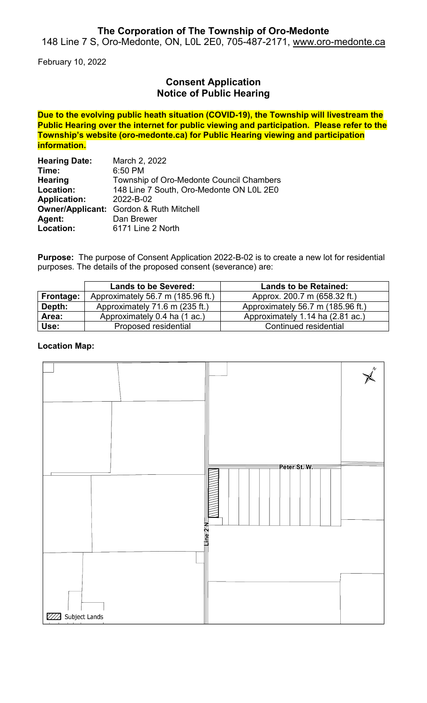## **The Corporation of The Township of Oro-Medonte**

148 Line 7 S, Oro-Medonte, ON, L0L 2E0, 705-487-2171, [www.oro-medonte.ca](http://www.oro-medonte.ca/)

February 10, 2022

# **Consent Application Notice of Public Hearing**

**Due to the evolving public heath situation (COVID-19), the Township will livestream the Public Hearing over the internet for public viewing and participation. Please refer to the Township's website (oro-medonte.ca) for Public Hearing viewing and participation information.**

| <b>Hearing Date:</b> | March 2, 2022                                  |
|----------------------|------------------------------------------------|
| Time:                | 6:50 PM                                        |
| <b>Hearing</b>       | Township of Oro-Medonte Council Chambers       |
| Location:            | 148 Line 7 South, Oro-Medonte ON L0L 2E0       |
| <b>Application:</b>  | 2022-B-02                                      |
|                      | <b>Owner/Applicant:</b> Gordon & Ruth Mitchell |
| Agent:               | Dan Brewer                                     |
| Location:            | 6171 Line 2 North                              |

**Purpose:** The purpose of Consent Application 2022-B-02 is to create a new lot for residential purposes. The details of the proposed consent (severance) are:

|           | <b>Lands to be Severed:</b>       | <b>Lands to be Retained:</b>      |
|-----------|-----------------------------------|-----------------------------------|
| Frontage: | Approximately 56.7 m (185.96 ft.) | Approx. 200.7 m (658.32 ft.)      |
| Depth:    | Approximately 71.6 m (235 ft.)    | Approximately 56.7 m (185.96 ft.) |
| Area:     | Approximately 0.4 ha (1 ac.)      | Approximately 1.14 ha (2.81 ac.)  |
| Use:      | Proposed residential              | Continued residential             |

### **Location Map:**

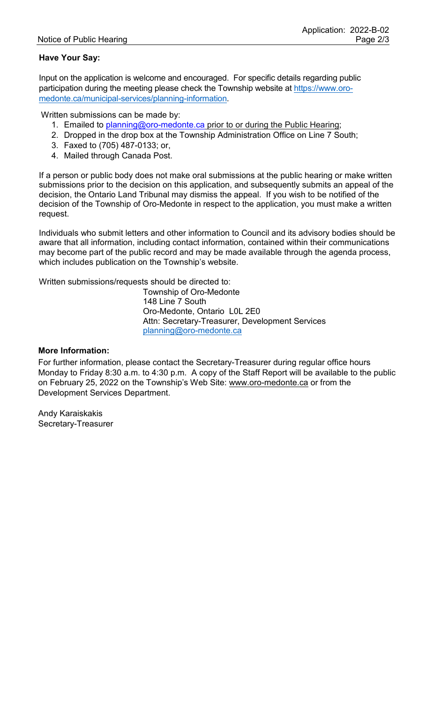## **Have Your Say:**

Input on the application is welcome and encouraged. For specific details regarding public participation during the meeting please check the Township website at [https://www.oro](https://www.oro-medonte.ca/municipal-services/planning-information)[medonte.ca/municipal-services/planning-information.](https://www.oro-medonte.ca/municipal-services/planning-information)

Written submissions can be made by:

- 1. Emailed to [planning@oro-medonte.ca](mailto:planning@oro-medonte.ca) prior to or during the Public Hearing;
- 2. Dropped in the drop box at the Township Administration Office on Line 7 South;
- 3. Faxed to (705) 487-0133; or,
- 4. Mailed through Canada Post.

If a person or public body does not make oral submissions at the public hearing or make written submissions prior to the decision on this application, and subsequently submits an appeal of the decision, the Ontario Land Tribunal may dismiss the appeal. If you wish to be notified of the decision of the Township of Oro-Medonte in respect to the application, you must make a written request.

Individuals who submit letters and other information to Council and its advisory bodies should be aware that all information, including contact information, contained within their communications may become part of the public record and may be made available through the agenda process, which includes publication on the Township's website.

Written submissions/requests should be directed to:

Township of Oro-Medonte 148 Line 7 South Oro-Medonte, Ontario L0L 2E0 Attn: Secretary-Treasurer, Development Services [planning@oro-medonte.ca](mailto:planning@oro-medonte.ca)

#### **More Information:**

For further information, please contact the Secretary-Treasurer during regular office hours Monday to Friday 8:30 a.m. to 4:30 p.m. A copy of the Staff Report will be available to the public on February 25, 2022 on the Township's Web Site: [www.oro-medonte.ca](http://www.oro-medonte.ca/) or from the Development Services Department.

Andy Karaiskakis Secretary-Treasurer